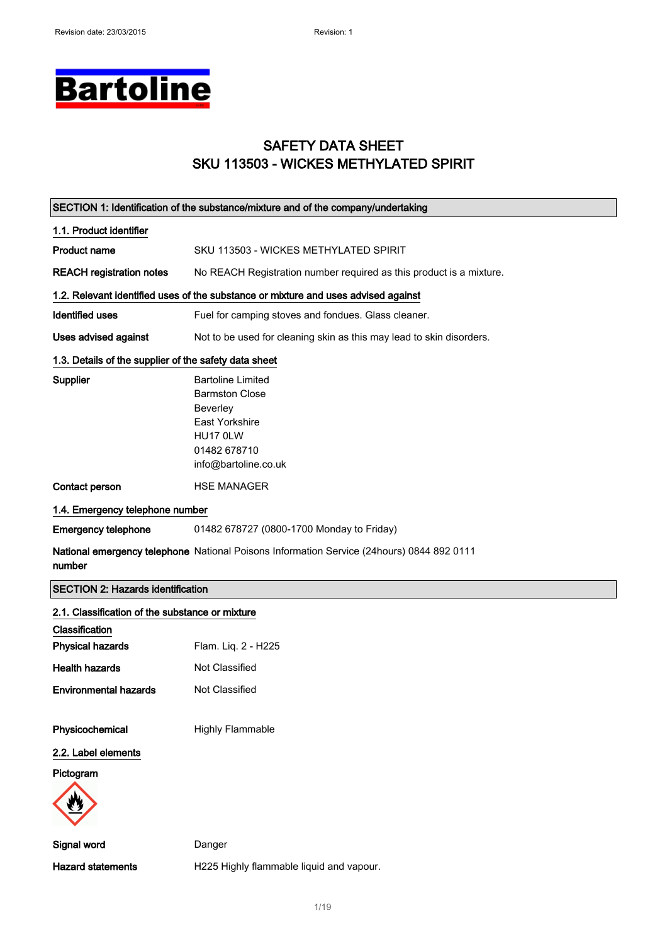# **Bartoline**

### SAFETY DATA SHEET SKU 113503 - WICKES METHYLATED SPIRIT

|                                                       | SECTION 1: Identification of the substance/mixture and of the company/undertaking                                                          |
|-------------------------------------------------------|--------------------------------------------------------------------------------------------------------------------------------------------|
| 1.1. Product identifier                               |                                                                                                                                            |
| <b>Product name</b>                                   | SKU 113503 - WICKES METHYLATED SPIRIT                                                                                                      |
| <b>REACH registration notes</b>                       | No REACH Registration number required as this product is a mixture.                                                                        |
|                                                       | 1.2. Relevant identified uses of the substance or mixture and uses advised against                                                         |
| <b>Identified uses</b>                                | Fuel for camping stoves and fondues. Glass cleaner.                                                                                        |
| Uses advised against                                  | Not to be used for cleaning skin as this may lead to skin disorders.                                                                       |
| 1.3. Details of the supplier of the safety data sheet |                                                                                                                                            |
| Supplier                                              | <b>Bartoline Limited</b><br><b>Barmston Close</b><br>Beverley<br><b>East Yorkshire</b><br>HU17 0LW<br>01482 678710<br>info@bartoline.co.uk |
| Contact person                                        | <b>HSE MANAGER</b>                                                                                                                         |
| 1.4. Emergency telephone number                       |                                                                                                                                            |
| <b>Emergency telephone</b>                            | 01482 678727 (0800-1700 Monday to Friday)                                                                                                  |
| number                                                | National emergency telephone National Poisons Information Service (24hours) 0844 892 0111                                                  |
| <b>SECTION 2: Hazards identification</b>              |                                                                                                                                            |
| 2.1. Classification of the substance or mixture       |                                                                                                                                            |
| Classification                                        |                                                                                                                                            |
| <b>Physical hazards</b>                               | Flam. Liq. 2 - H225                                                                                                                        |
| <b>Health hazards</b>                                 | Not Classified                                                                                                                             |
| <b>Environmental hazards</b>                          | Not Classified                                                                                                                             |
| Physicochemical                                       | <b>Highly Flammable</b>                                                                                                                    |
| 2.2. Label elements                                   |                                                                                                                                            |
| Pictogram                                             |                                                                                                                                            |
| Signal word                                           | Danger                                                                                                                                     |
| <b>Hazard statements</b>                              | H225 Highly flammable liquid and vapour.                                                                                                   |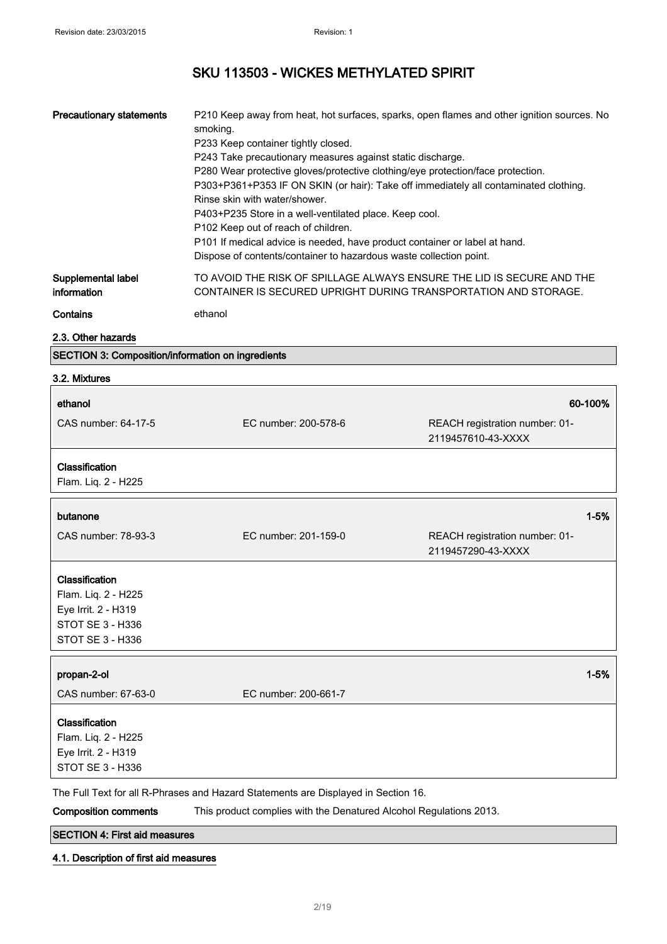| <b>Precautionary statements</b>   | P210 Keep away from heat, hot surfaces, sparks, open flames and other ignition sources. No<br>smoking.<br>P233 Keep container tightly closed.<br>P243 Take precautionary measures against static discharge.<br>P280 Wear protective gloves/protective clothing/eye protection/face protection.<br>P303+P361+P353 IF ON SKIN (or hair): Take off immediately all contaminated clothing.<br>Rinse skin with water/shower<br>P403+P235 Store in a well-ventilated place. Keep cool.<br>P102 Keep out of reach of children.<br>P101 If medical advice is needed, have product container or label at hand.<br>Dispose of contents/container to hazardous waste collection point. |
|-----------------------------------|-----------------------------------------------------------------------------------------------------------------------------------------------------------------------------------------------------------------------------------------------------------------------------------------------------------------------------------------------------------------------------------------------------------------------------------------------------------------------------------------------------------------------------------------------------------------------------------------------------------------------------------------------------------------------------|
| Supplemental label<br>information | TO AVOID THE RISK OF SPILLAGE ALWAYS ENSURE THE LID IS SECURE AND THE<br>CONTAINER IS SECURED UPRIGHT DURING TRANSPORTATION AND STORAGE.                                                                                                                                                                                                                                                                                                                                                                                                                                                                                                                                    |
| Contains                          | ethanol                                                                                                                                                                                                                                                                                                                                                                                                                                                                                                                                                                                                                                                                     |

#### 2.3. Other hazards

SECTION 3: Composition/information on ingredients

#### 3.2. Mixtures

| ethanol                                                                                              |                      | 60-100%                                              |
|------------------------------------------------------------------------------------------------------|----------------------|------------------------------------------------------|
| CAS number: 64-17-5                                                                                  | EC number: 200-578-6 | REACH registration number: 01-<br>2119457610-43-XXXX |
| Classification<br>Flam. Liq. 2 - H225                                                                |                      |                                                      |
| butanone                                                                                             |                      | $1 - 5%$                                             |
| CAS number: 78-93-3                                                                                  | EC number: 201-159-0 | REACH registration number: 01-<br>2119457290-43-XXXX |
| Classification<br>Flam. Liq. 2 - H225<br>Eye Irrit. 2 - H319<br>STOT SE 3 - H336<br>STOT SE 3 - H336 |                      |                                                      |
| propan-2-ol                                                                                          |                      | $1 - 5%$                                             |
| CAS number: 67-63-0                                                                                  | EC number: 200-661-7 |                                                      |
| Classification<br>Flam. Liq. 2 - H225<br>Eye Irrit. 2 - H319<br>STOT SE 3 - H336                     |                      |                                                      |

The Full Text for all R-Phrases and Hazard Statements are Displayed in Section 16.

Composition comments This product complies with the Denatured Alcohol Regulations 2013.

#### SECTION 4: First aid measures

#### 4.1. Description of first aid measures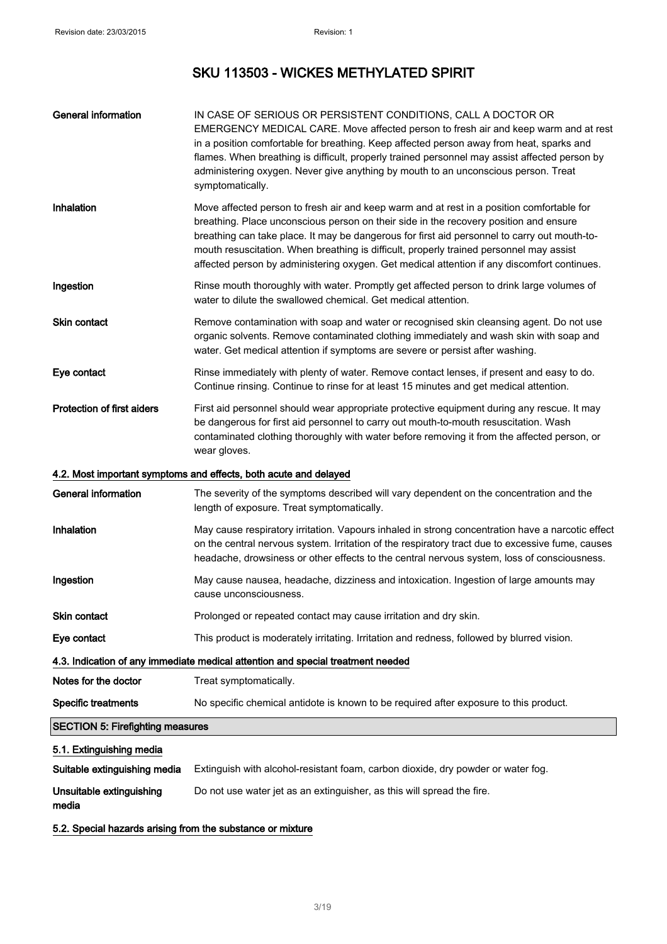| <b>General information</b>              | IN CASE OF SERIOUS OR PERSISTENT CONDITIONS, CALL A DOCTOR OR<br>EMERGENCY MEDICAL CARE. Move affected person to fresh air and keep warm and at rest<br>in a position comfortable for breathing. Keep affected person away from heat, sparks and<br>flames. When breathing is difficult, properly trained personnel may assist affected person by<br>administering oxygen. Never give anything by mouth to an unconscious person. Treat<br>symptomatically.                  |
|-----------------------------------------|------------------------------------------------------------------------------------------------------------------------------------------------------------------------------------------------------------------------------------------------------------------------------------------------------------------------------------------------------------------------------------------------------------------------------------------------------------------------------|
| Inhalation                              | Move affected person to fresh air and keep warm and at rest in a position comfortable for<br>breathing. Place unconscious person on their side in the recovery position and ensure<br>breathing can take place. It may be dangerous for first aid personnel to carry out mouth-to-<br>mouth resuscitation. When breathing is difficult, properly trained personnel may assist<br>affected person by administering oxygen. Get medical attention if any discomfort continues. |
| Ingestion                               | Rinse mouth thoroughly with water. Promptly get affected person to drink large volumes of<br>water to dilute the swallowed chemical. Get medical attention.                                                                                                                                                                                                                                                                                                                  |
| Skin contact                            | Remove contamination with soap and water or recognised skin cleansing agent. Do not use<br>organic solvents. Remove contaminated clothing immediately and wash skin with soap and<br>water. Get medical attention if symptoms are severe or persist after washing.                                                                                                                                                                                                           |
| Eye contact                             | Rinse immediately with plenty of water. Remove contact lenses, if present and easy to do.<br>Continue rinsing. Continue to rinse for at least 15 minutes and get medical attention.                                                                                                                                                                                                                                                                                          |
| <b>Protection of first aiders</b>       | First aid personnel should wear appropriate protective equipment during any rescue. It may<br>be dangerous for first aid personnel to carry out mouth-to-mouth resuscitation. Wash<br>contaminated clothing thoroughly with water before removing it from the affected person, or<br>wear gloves.                                                                                                                                                                            |
|                                         | 4.2. Most important symptoms and effects, both acute and delayed                                                                                                                                                                                                                                                                                                                                                                                                             |
| <b>General information</b>              | The severity of the symptoms described will vary dependent on the concentration and the<br>length of exposure. Treat symptomatically.                                                                                                                                                                                                                                                                                                                                        |
| Inhalation                              | May cause respiratory irritation. Vapours inhaled in strong concentration have a narcotic effect<br>on the central nervous system. Irritation of the respiratory tract due to excessive fume, causes<br>headache, drowsiness or other effects to the central nervous system, loss of consciousness.                                                                                                                                                                          |
| Ingestion                               | May cause nausea, headache, dizziness and intoxication. Ingestion of large amounts may<br>cause unconsciousness.                                                                                                                                                                                                                                                                                                                                                             |
| Skin contact                            | Prolonged or repeated contact may cause irritation and dry skin.                                                                                                                                                                                                                                                                                                                                                                                                             |
| Eye contact                             | This product is moderately irritating. Irritation and redness, followed by blurred vision.                                                                                                                                                                                                                                                                                                                                                                                   |
|                                         | 4.3. Indication of any immediate medical attention and special treatment needed                                                                                                                                                                                                                                                                                                                                                                                              |
| Notes for the doctor                    | Treat symptomatically.                                                                                                                                                                                                                                                                                                                                                                                                                                                       |
| <b>Specific treatments</b>              | No specific chemical antidote is known to be required after exposure to this product.                                                                                                                                                                                                                                                                                                                                                                                        |
| <b>SECTION 5: Firefighting measures</b> |                                                                                                                                                                                                                                                                                                                                                                                                                                                                              |
| 5.1. Extinguishing media                |                                                                                                                                                                                                                                                                                                                                                                                                                                                                              |
| Suitable extinguishing media            | Extinguish with alcohol-resistant foam, carbon dioxide, dry powder or water fog.                                                                                                                                                                                                                                                                                                                                                                                             |
| Unsuitable extinguishing<br>media       | Do not use water jet as an extinguisher, as this will spread the fire.                                                                                                                                                                                                                                                                                                                                                                                                       |

5.2. Special hazards arising from the substance or mixture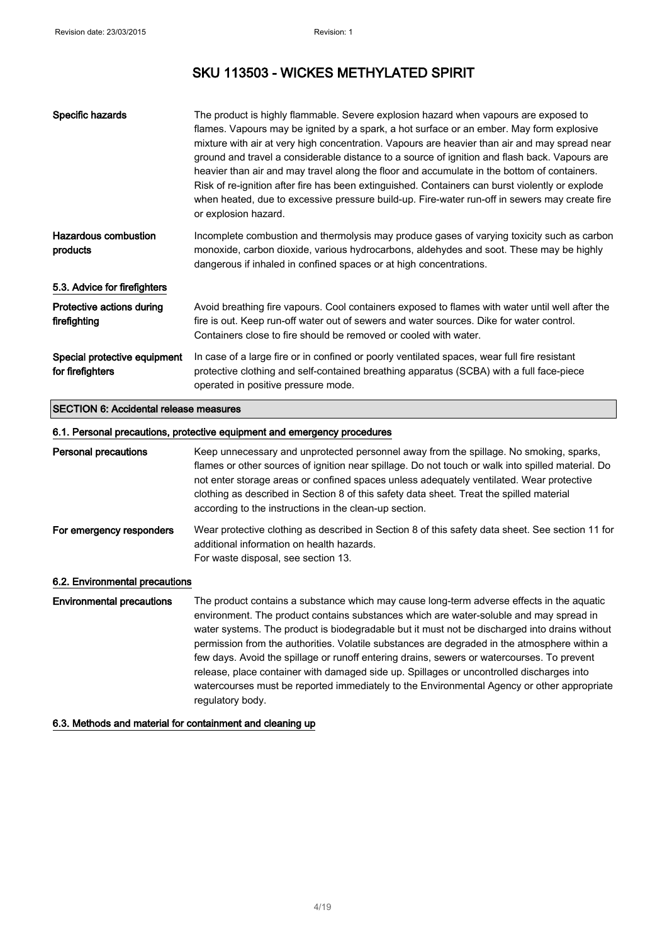| Specific hazards                                 | The product is highly flammable. Severe explosion hazard when vapours are exposed to<br>flames. Vapours may be ignited by a spark, a hot surface or an ember. May form explosive<br>mixture with air at very high concentration. Vapours are heavier than air and may spread near<br>ground and travel a considerable distance to a source of ignition and flash back. Vapours are<br>heavier than air and may travel along the floor and accumulate in the bottom of containers.<br>Risk of re-ignition after fire has been extinguished. Containers can burst violently or explode<br>when heated, due to excessive pressure build-up. Fire-water run-off in sewers may create fire<br>or explosion hazard. |  |
|--------------------------------------------------|---------------------------------------------------------------------------------------------------------------------------------------------------------------------------------------------------------------------------------------------------------------------------------------------------------------------------------------------------------------------------------------------------------------------------------------------------------------------------------------------------------------------------------------------------------------------------------------------------------------------------------------------------------------------------------------------------------------|--|
| Hazardous combustion<br>products                 | Incomplete combustion and thermolysis may produce gases of varying toxicity such as carbon<br>monoxide, carbon dioxide, various hydrocarbons, aldehydes and soot. These may be highly<br>dangerous if inhaled in confined spaces or at high concentrations.                                                                                                                                                                                                                                                                                                                                                                                                                                                   |  |
| 5.3. Advice for firefighters                     |                                                                                                                                                                                                                                                                                                                                                                                                                                                                                                                                                                                                                                                                                                               |  |
| Protective actions during<br>firefighting        | Avoid breathing fire vapours. Cool containers exposed to flames with water until well after the<br>fire is out. Keep run-off water out of sewers and water sources. Dike for water control.<br>Containers close to fire should be removed or cooled with water.                                                                                                                                                                                                                                                                                                                                                                                                                                               |  |
| Special protective equipment<br>for firefighters | In case of a large fire or in confined or poorly ventilated spaces, wear full fire resistant<br>protective clothing and self-contained breathing apparatus (SCBA) with a full face-piece<br>operated in positive pressure mode.                                                                                                                                                                                                                                                                                                                                                                                                                                                                               |  |
| <b>SECTION 6: Accidental release measures</b>    |                                                                                                                                                                                                                                                                                                                                                                                                                                                                                                                                                                                                                                                                                                               |  |
|                                                  | 6.1. Personal precautions, protective equipment and emergency procedures                                                                                                                                                                                                                                                                                                                                                                                                                                                                                                                                                                                                                                      |  |
| <b>Personal precautions</b>                      | Keep unnecessary and unprotected personnel away from the spillage. No smoking, sparks,<br>flames or other sources of ignition near spillage. Do not touch or walk into spilled material. Do<br>not enter storage areas or confined spaces unless adequately ventilated. Wear protective                                                                                                                                                                                                                                                                                                                                                                                                                       |  |

clothing as described in Section 8 of this safety data sheet. Treat the spilled material according to the instructions in the clean-up section. For emergency responders Wear protective clothing as described in Section 8 of this safety data sheet. See section 11 for additional information on health hazards. For waste disposal, see section 13.

#### 6.2. Environmental precautions

Environmental precautions The product contains a substance which may cause long-term adverse effects in the aquatic environment. The product contains substances which are water-soluble and may spread in water systems. The product is biodegradable but it must not be discharged into drains without permission from the authorities. Volatile substances are degraded in the atmosphere within a few days. Avoid the spillage or runoff entering drains, sewers or watercourses. To prevent release, place container with damaged side up. Spillages or uncontrolled discharges into watercourses must be reported immediately to the Environmental Agency or other appropriate regulatory body.

#### 6.3. Methods and material for containment and cleaning up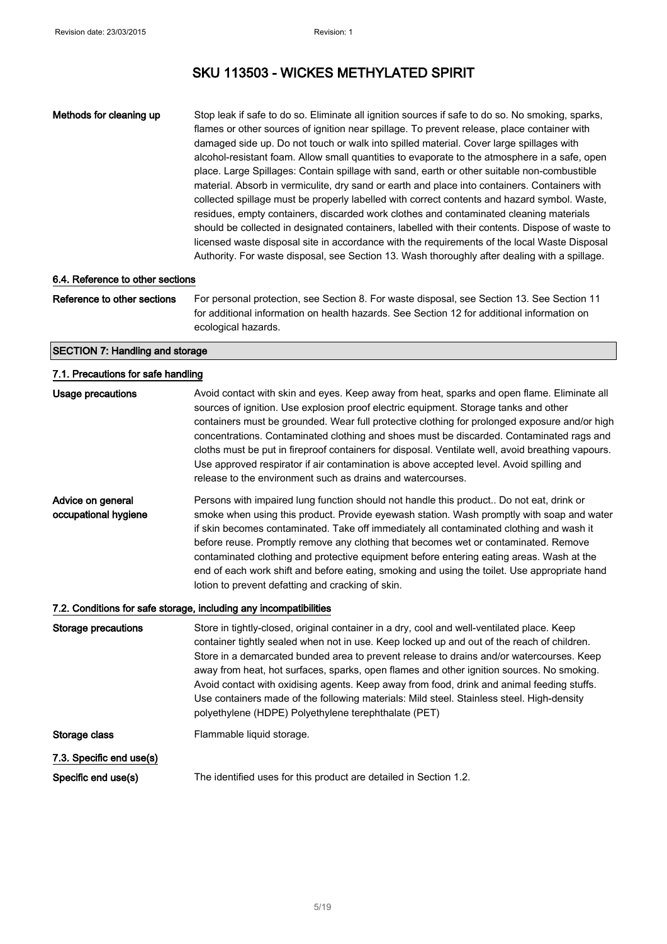Methods for cleaning up Stop leak if safe to do so. Eliminate all ignition sources if safe to do so. No smoking, sparks, flames or other sources of ignition near spillage. To prevent release, place container with damaged side up. Do not touch or walk into spilled material. Cover large spillages with alcohol-resistant foam. Allow small quantities to evaporate to the atmosphere in a safe, open place. Large Spillages: Contain spillage with sand, earth or other suitable non-combustible material. Absorb in vermiculite, dry sand or earth and place into containers. Containers with collected spillage must be properly labelled with correct contents and hazard symbol. Waste, residues, empty containers, discarded work clothes and contaminated cleaning materials should be collected in designated containers, labelled with their contents. Dispose of waste to licensed waste disposal site in accordance with the requirements of the local Waste Disposal Authority. For waste disposal, see Section 13. Wash thoroughly after dealing with a spillage.

#### 6.4. Reference to other sections

#### Reference to other sections For personal protection, see Section 8. For waste disposal, see Section 13. See Section 11 for additional information on health hazards. See Section 12 for additional information on ecological hazards.

#### SECTION 7: Handling and storage

| 7.1. Precautions for safe handling        |                                                                                                                                                                                                                                                                                                                                                                                                                                                                                                                                                                                                                                                  |
|-------------------------------------------|--------------------------------------------------------------------------------------------------------------------------------------------------------------------------------------------------------------------------------------------------------------------------------------------------------------------------------------------------------------------------------------------------------------------------------------------------------------------------------------------------------------------------------------------------------------------------------------------------------------------------------------------------|
| <b>Usage precautions</b>                  | Avoid contact with skin and eyes. Keep away from heat, sparks and open flame. Eliminate all<br>sources of ignition. Use explosion proof electric equipment. Storage tanks and other<br>containers must be grounded. Wear full protective clothing for prolonged exposure and/or high<br>concentrations. Contaminated clothing and shoes must be discarded. Contaminated rags and<br>cloths must be put in fireproof containers for disposal. Ventilate well, avoid breathing vapours.<br>Use approved respirator if air contamination is above accepted level. Avoid spilling and<br>release to the environment such as drains and watercourses. |
| Advice on general<br>occupational hygiene | Persons with impaired lung function should not handle this product Do not eat, drink or<br>smoke when using this product. Provide eyewash station. Wash promptly with soap and water<br>if skin becomes contaminated. Take off immediately all contaminated clothing and wash it<br>before reuse. Promptly remove any clothing that becomes wet or contaminated. Remove<br>contaminated clothing and protective equipment before entering eating areas. Wash at the<br>end of each work shift and before eating, smoking and using the toilet. Use appropriate hand<br>lotion to prevent defatting and cracking of skin.                         |
|                                           | 7.2. Conditions for safe storage, including any incompatibilities                                                                                                                                                                                                                                                                                                                                                                                                                                                                                                                                                                                |
| <b>Storage precautions</b>                | Store in tightly-closed, original container in a dry, cool and well-ventilated place. Keep<br>container tightly sealed when not in use. Keep locked up and out of the reach of children.<br>Store in a demarcated bunded area to prevent release to drains and/or watercourses. Keep<br>away from heat, hot surfaces, sparks, open flames and other ignition sources. No smoking.<br>Avoid contact with oxidising agents. Keep away from food, drink and animal feeding stuffs.<br>Use containers made of the following materials: Mild steel. Stainless steel. High-density<br>polyethylene (HDPE) Polyethylene terephthalate (PET)             |
| Storage class                             | Flammable liquid storage.                                                                                                                                                                                                                                                                                                                                                                                                                                                                                                                                                                                                                        |
| 7.3. Specific end use(s)                  |                                                                                                                                                                                                                                                                                                                                                                                                                                                                                                                                                                                                                                                  |
| Specific end use(s)                       | The identified uses for this product are detailed in Section 1.2.                                                                                                                                                                                                                                                                                                                                                                                                                                                                                                                                                                                |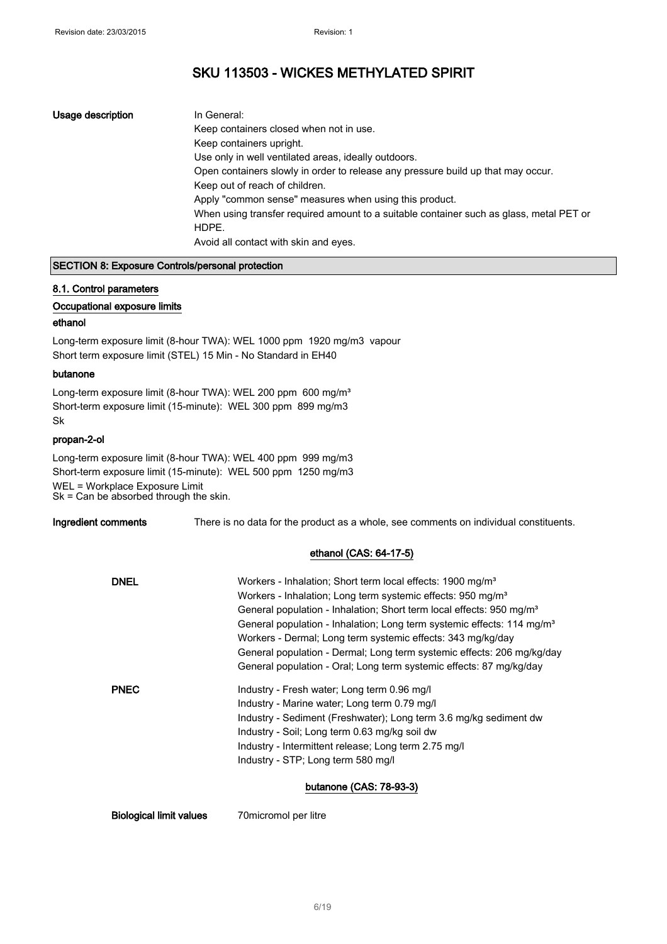#### Usage description In General: Keep containers closed when not in use. Keep containers upright. Use only in well ventilated areas, ideally outdoors. Open containers slowly in order to release any pressure build up that may occur. Keep out of reach of children. Apply "common sense" measures when using this product. When using transfer required amount to a suitable container such as glass, metal PET or HDPE. Avoid all contact with skin and eyes.

#### SECTION 8: Exposure Controls/personal protection

#### 8.1. Control parameters

#### Occupational exposure limits

#### ethanol

Long-term exposure limit (8-hour TWA): WEL 1000 ppm 1920 mg/m3 vapour Short term exposure limit (STEL) 15 Min - No Standard in EH40

#### butanone

Long-term exposure limit (8-hour TWA): WEL 200 ppm 600 mg/m<sup>3</sup> Short-term exposure limit (15-minute): WEL 300 ppm 899 mg/m3 Sk

#### propan-2-ol

Long-term exposure limit (8-hour TWA): WEL 400 ppm 999 mg/m3 Short-term exposure limit (15-minute): WEL 500 ppm 1250 mg/m3 WEL = Workplace Exposure Limit Sk = Can be absorbed through the skin.

Ingredient comments There is no data for the product as a whole, see comments on individual constituents.

#### ethanol (CAS: 64-17-5)

| <b>DNEL</b> | Workers - Inhalation; Short term local effects: 1900 mg/m <sup>3</sup><br>Workers - Inhalation; Long term systemic effects: 950 mg/m <sup>3</sup><br>General population - Inhalation; Short term local effects: 950 mg/m <sup>3</sup><br>General population - Inhalation; Long term systemic effects: 114 mg/m <sup>3</sup><br>Workers - Dermal; Long term systemic effects: 343 mg/kg/day<br>General population - Dermal; Long term systemic effects: 206 mg/kg/day<br>General population - Oral; Long term systemic effects: 87 mg/kg/day |
|-------------|---------------------------------------------------------------------------------------------------------------------------------------------------------------------------------------------------------------------------------------------------------------------------------------------------------------------------------------------------------------------------------------------------------------------------------------------------------------------------------------------------------------------------------------------|
| <b>PNEC</b> | Industry - Fresh water; Long term 0.96 mg/l<br>Industry - Marine water; Long term 0.79 mg/l<br>Industry - Sediment (Freshwater); Long term 3.6 mg/kg sediment dw<br>Industry - Soil; Long term 0.63 mg/kg soil dw<br>Industry - Intermittent release; Long term 2.75 mg/l<br>Industry - STP; Long term 580 mg/l<br>butanone (CAS: 78-93-3)                                                                                                                                                                                                  |

Biological limit values 70micromol per litre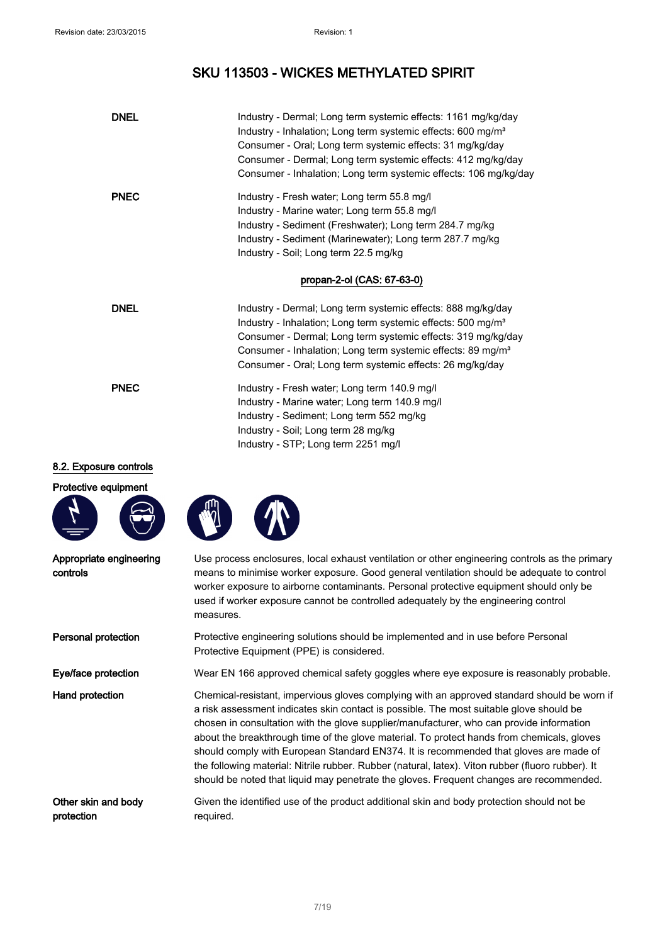| <b>DNEL</b> | Industry - Dermal; Long term systemic effects: 1161 mg/kg/day<br>Industry - Inhalation; Long term systemic effects: 600 mg/m <sup>3</sup><br>Consumer - Oral; Long term systemic effects: 31 mg/kg/day<br>Consumer - Dermal; Long term systemic effects: 412 mg/kg/day<br>Consumer - Inhalation; Long term systemic effects: 106 mg/kg/day       |
|-------------|--------------------------------------------------------------------------------------------------------------------------------------------------------------------------------------------------------------------------------------------------------------------------------------------------------------------------------------------------|
| <b>PNEC</b> | Industry - Fresh water; Long term 55.8 mg/l<br>Industry - Marine water; Long term 55.8 mg/l<br>Industry - Sediment (Freshwater); Long term 284.7 mg/kg<br>Industry - Sediment (Marinewater); Long term 287.7 mg/kg<br>Industry - Soil; Long term 22.5 mg/kg                                                                                      |
|             | propan-2-ol (CAS: 67-63-0)                                                                                                                                                                                                                                                                                                                       |
| <b>DNEL</b> | Industry - Dermal; Long term systemic effects: 888 mg/kg/day<br>Industry - Inhalation; Long term systemic effects: 500 mg/m <sup>3</sup><br>Consumer - Dermal; Long term systemic effects: 319 mg/kg/day<br>Consumer - Inhalation; Long term systemic effects: 89 mg/m <sup>3</sup><br>Consumer - Oral; Long term systemic effects: 26 mg/kg/day |
| <b>PNEC</b> | Industry - Fresh water; Long term 140.9 mg/l<br>Industry - Marine water; Long term 140.9 mg/l<br>Industry - Sediment; Long term 552 mg/kg<br>Industry - Soil; Long term 28 mg/kg<br>Industry - STP; Long term 2251 mg/l                                                                                                                          |

#### 8.2. Exposure controls

#### Protective equipment

Appropriate engineering



controls



Use process enclosures, local exhaust ventilation or other engineering controls as the primary means to minimise worker exposure. Good general ventilation should be adequate to control worker exposure to airborne contaminants. Personal protective equipment should only be used if worker exposure cannot be controlled adequately by the engineering control measures.

Personal protection Protective engineering solutions should be implemented and in use before Personal Protective Equipment (PPE) is considered.

Eye/face protection Wear EN 166 approved chemical safety goggles where eye exposure is reasonably probable.

Hand protection **Chemical-resistant, impervious gloves complying with an approved standard should be worn if** a risk assessment indicates skin contact is possible. The most suitable glove should be chosen in consultation with the glove supplier/manufacturer, who can provide information about the breakthrough time of the glove material. To protect hands from chemicals, gloves should comply with European Standard EN374. It is recommended that gloves are made of the following material: Nitrile rubber. Rubber (natural, latex). Viton rubber (fluoro rubber). It should be noted that liquid may penetrate the gloves. Frequent changes are recommended.

Other skin and body protection Given the identified use of the product additional skin and body protection should not be required.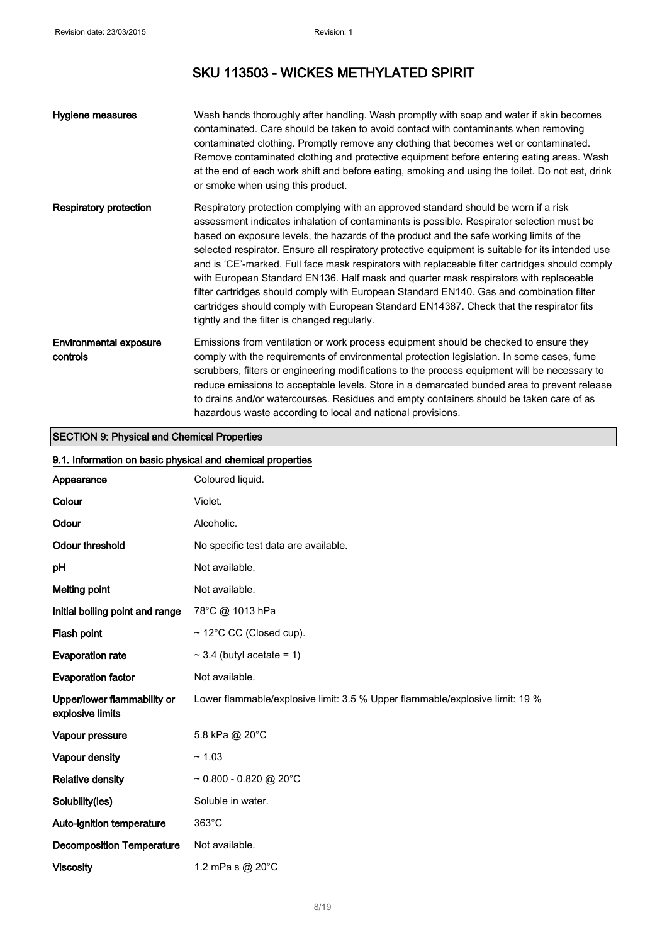| Hygiene measures                          | Wash hands thoroughly after handling. Wash promptly with soap and water if skin becomes<br>contaminated. Care should be taken to avoid contact with contaminants when removing<br>contaminated clothing. Promptly remove any clothing that becomes wet or contaminated.<br>Remove contaminated clothing and protective equipment before entering eating areas. Wash<br>at the end of each work shift and before eating, smoking and using the toilet. Do not eat, drink<br>or smoke when using this product.                                                                                                                                                                                                                                                                                                        |
|-------------------------------------------|---------------------------------------------------------------------------------------------------------------------------------------------------------------------------------------------------------------------------------------------------------------------------------------------------------------------------------------------------------------------------------------------------------------------------------------------------------------------------------------------------------------------------------------------------------------------------------------------------------------------------------------------------------------------------------------------------------------------------------------------------------------------------------------------------------------------|
| Respiratory protection                    | Respiratory protection complying with an approved standard should be worn if a risk<br>assessment indicates inhalation of contaminants is possible. Respirator selection must be<br>based on exposure levels, the hazards of the product and the safe working limits of the<br>selected respirator. Ensure all respiratory protective equipment is suitable for its intended use<br>and is 'CE'-marked. Full face mask respirators with replaceable filter cartridges should comply<br>with European Standard EN136. Half mask and quarter mask respirators with replaceable<br>filter cartridges should comply with European Standard EN140. Gas and combination filter<br>cartridges should comply with European Standard EN14387. Check that the respirator fits<br>tightly and the filter is changed regularly. |
| <b>Environmental exposure</b><br>controls | Emissions from ventilation or work process equipment should be checked to ensure they<br>comply with the requirements of environmental protection legislation. In some cases, fume<br>scrubbers, filters or engineering modifications to the process equipment will be necessary to<br>reduce emissions to acceptable levels. Store in a demarcated bunded area to prevent release<br>to drains and/or watercourses. Residues and empty containers should be taken care of as<br>hazardous waste according to local and national provisions.                                                                                                                                                                                                                                                                        |

#### SECTION 9: Physical and Chemical Properties

## 9.1. Information on basic physical and chemical properties Appearance Coloured liquid. Colour **Violet.** Odour Alcoholic. Odour threshold No specific test data are available. pH Not available. Melting point Not available. Initial boiling point and range 78°C @ 1013 hPa Flash point  $\sim 12^{\circ}$ C CC (Closed cup). Evaporation rate  $\sim 3.4$  (butyl acetate = 1) Evaporation factor **Not available**. Upper/lower flammability or explosive limits Lower flammable/explosive limit: 3.5 % Upper flammable/explosive limit: 19 % Vapour pressure 5.8 kPa @ 20°C Vapour density  $\sim 1.03$ Relative density ~ 0.800 - 0.820 @ 20°C Solubility(ies) Soluble in water. Auto-ignition temperature 363°C Decomposition Temperature Not available. Viscosity 1.2 mPa s @ 20°C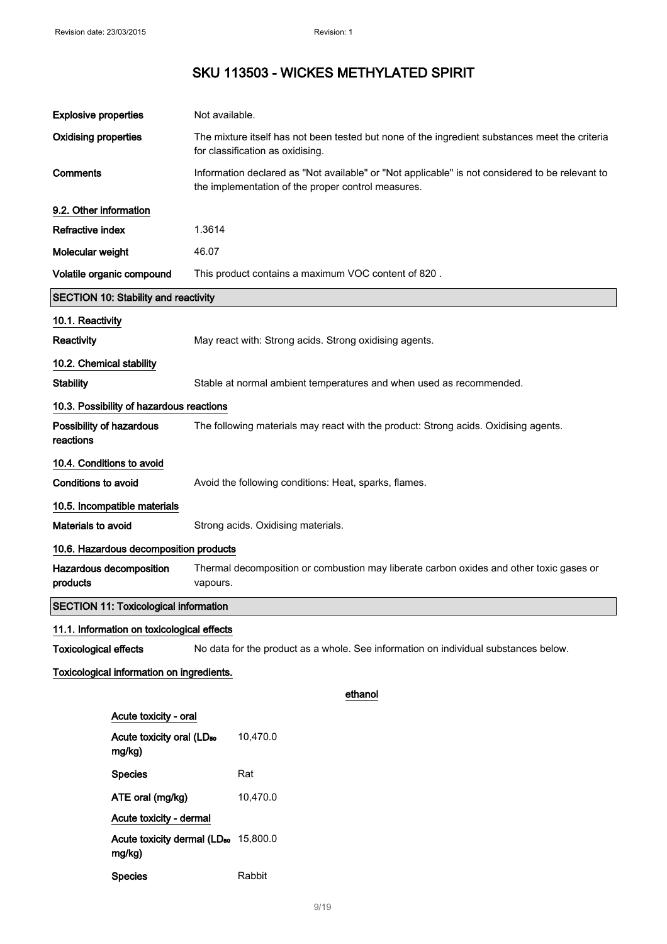mg/kg)

Species **Rabbit** 

### SKU 113503 - WICKES METHYLATED SPIRIT

| <b>Explosive properties</b>                     | Not available.                                                                                                                                        |
|-------------------------------------------------|-------------------------------------------------------------------------------------------------------------------------------------------------------|
| <b>Oxidising properties</b>                     | The mixture itself has not been tested but none of the ingredient substances meet the criteria<br>for classification as oxidising.                    |
| <b>Comments</b>                                 | Information declared as "Not available" or "Not applicable" is not considered to be relevant to<br>the implementation of the proper control measures. |
| 9.2. Other information                          |                                                                                                                                                       |
| <b>Refractive index</b>                         | 1.3614                                                                                                                                                |
| Molecular weight                                | 46.07                                                                                                                                                 |
| Volatile organic compound                       | This product contains a maximum VOC content of 820.                                                                                                   |
| <b>SECTION 10: Stability and reactivity</b>     |                                                                                                                                                       |
| 10.1. Reactivity                                |                                                                                                                                                       |
| Reactivity                                      | May react with: Strong acids. Strong oxidising agents.                                                                                                |
| 10.2. Chemical stability                        |                                                                                                                                                       |
| <b>Stability</b>                                | Stable at normal ambient temperatures and when used as recommended.                                                                                   |
| 10.3. Possibility of hazardous reactions        |                                                                                                                                                       |
| Possibility of hazardous<br>reactions           | The following materials may react with the product: Strong acids. Oxidising agents.                                                                   |
| 10.4. Conditions to avoid                       |                                                                                                                                                       |
| <b>Conditions to avoid</b>                      | Avoid the following conditions: Heat, sparks, flames.                                                                                                 |
| 10.5. Incompatible materials                    |                                                                                                                                                       |
| Materials to avoid                              | Strong acids. Oxidising materials.                                                                                                                    |
| 10.6. Hazardous decomposition products          |                                                                                                                                                       |
| Hazardous decomposition<br>products             | Thermal decomposition or combustion may liberate carbon oxides and other toxic gases or<br>vapours.                                                   |
| <b>SECTION 11: Toxicological information</b>    |                                                                                                                                                       |
| 11.1. Information on toxicological effects      |                                                                                                                                                       |
| <b>Toxicological effects</b>                    | No data for the product as a whole. See information on individual substances below.                                                                   |
| Toxicological information on ingredients.       |                                                                                                                                                       |
|                                                 | ethanol                                                                                                                                               |
| Acute toxicity - oral                           |                                                                                                                                                       |
| Acute toxicity oral (LD <sub>50</sub><br>mg/kg) | 10,470.0                                                                                                                                              |
| <b>Species</b>                                  | Rat                                                                                                                                                   |
| ATE oral (mg/kg)                                | 10,470.0                                                                                                                                              |
| Acute toxicity - dermal                         |                                                                                                                                                       |
|                                                 | Acute toxicity dermal (LD <sub>50</sub> 15,800.0                                                                                                      |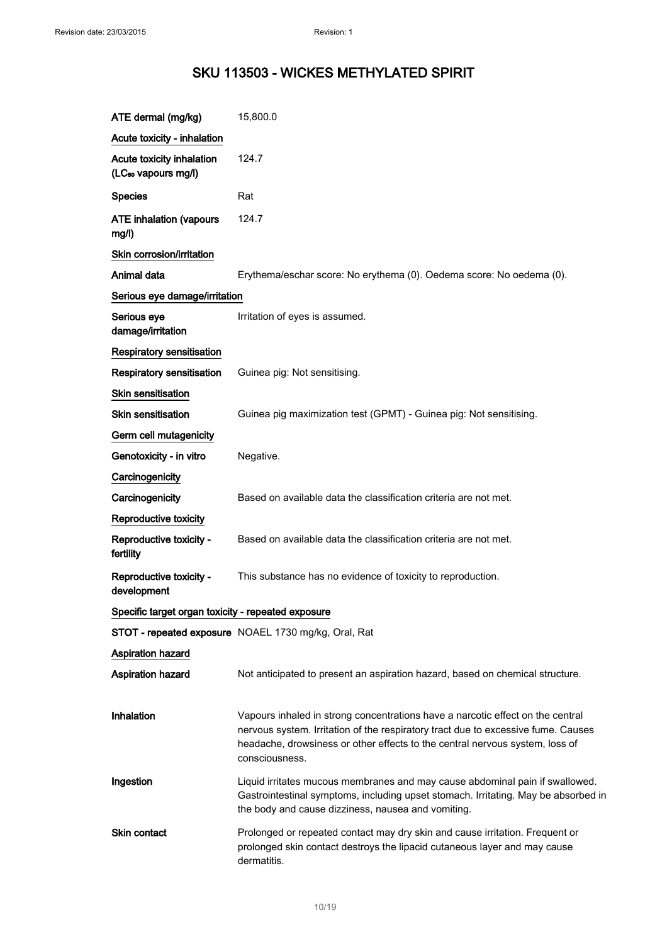| ATE dermal (mg/kg)                                           | 15,800.0                                                                                                                                                                                                                                                              |
|--------------------------------------------------------------|-----------------------------------------------------------------------------------------------------------------------------------------------------------------------------------------------------------------------------------------------------------------------|
| Acute toxicity - inhalation                                  |                                                                                                                                                                                                                                                                       |
| Acute toxicity inhalation<br>(LC <sub>50</sub> vapours mg/l) | 124.7                                                                                                                                                                                                                                                                 |
| <b>Species</b>                                               | Rat                                                                                                                                                                                                                                                                   |
| <b>ATE inhalation (vapours</b><br>mg/l)                      | 124.7                                                                                                                                                                                                                                                                 |
| Skin corrosion/irritation                                    |                                                                                                                                                                                                                                                                       |
| Animal data                                                  | Erythema/eschar score: No erythema (0). Oedema score: No oedema (0).                                                                                                                                                                                                  |
| Serious eye damage/irritation                                |                                                                                                                                                                                                                                                                       |
| Serious eye<br>damage/irritation                             | Irritation of eyes is assumed.                                                                                                                                                                                                                                        |
| <b>Respiratory sensitisation</b>                             |                                                                                                                                                                                                                                                                       |
| Respiratory sensitisation                                    | Guinea pig: Not sensitising.                                                                                                                                                                                                                                          |
| <b>Skin sensitisation</b>                                    |                                                                                                                                                                                                                                                                       |
| <b>Skin sensitisation</b>                                    | Guinea pig maximization test (GPMT) - Guinea pig: Not sensitising.                                                                                                                                                                                                    |
| Germ cell mutagenicity                                       |                                                                                                                                                                                                                                                                       |
| Genotoxicity - in vitro                                      | Negative.                                                                                                                                                                                                                                                             |
| Carcinogenicity                                              |                                                                                                                                                                                                                                                                       |
| Carcinogenicity                                              | Based on available data the classification criteria are not met.                                                                                                                                                                                                      |
| Reproductive toxicity                                        |                                                                                                                                                                                                                                                                       |
| Reproductive toxicity -<br>fertility                         | Based on available data the classification criteria are not met.                                                                                                                                                                                                      |
| Reproductive toxicity -<br>development                       | This substance has no evidence of toxicity to reproduction.                                                                                                                                                                                                           |
| Specific target organ toxicity - repeated exposure           |                                                                                                                                                                                                                                                                       |
|                                                              | STOT - repeated exposure NOAEL 1730 mg/kg, Oral, Rat                                                                                                                                                                                                                  |
| <b>Aspiration hazard</b>                                     |                                                                                                                                                                                                                                                                       |
| <b>Aspiration hazard</b>                                     | Not anticipated to present an aspiration hazard, based on chemical structure.                                                                                                                                                                                         |
|                                                              |                                                                                                                                                                                                                                                                       |
| Inhalation                                                   | Vapours inhaled in strong concentrations have a narcotic effect on the central<br>nervous system. Irritation of the respiratory tract due to excessive fume. Causes<br>headache, drowsiness or other effects to the central nervous system, loss of<br>consciousness. |
| Ingestion                                                    | Liquid irritates mucous membranes and may cause abdominal pain if swallowed.<br>Gastrointestinal symptoms, including upset stomach. Irritating. May be absorbed in<br>the body and cause dizziness, nausea and vomiting.                                              |
| Skin contact                                                 | Prolonged or repeated contact may dry skin and cause irritation. Frequent or<br>prolonged skin contact destroys the lipacid cutaneous layer and may cause<br>dermatitis.                                                                                              |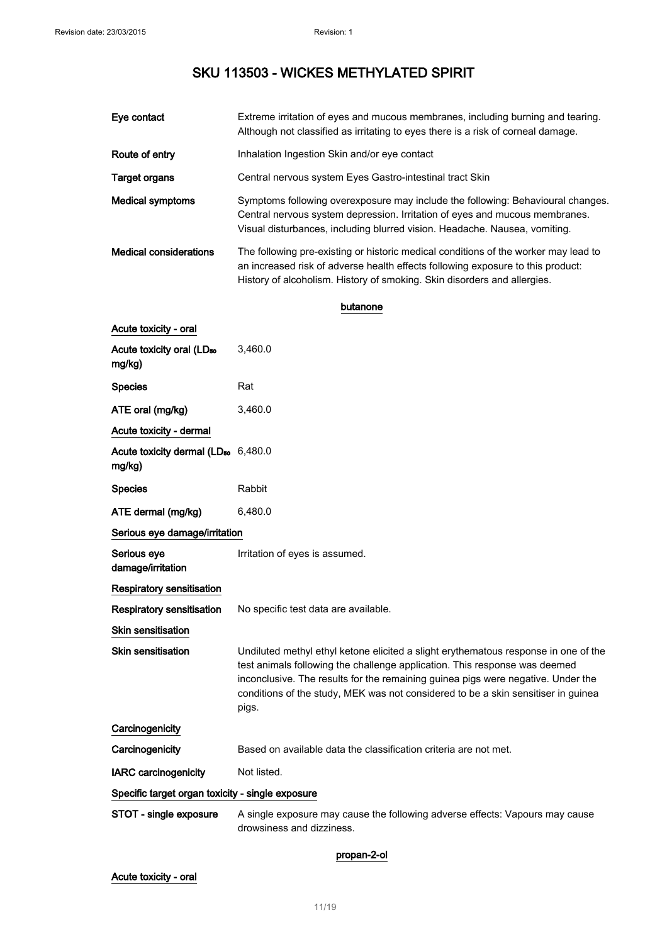| Eye contact                   | Extreme irritation of eyes and mucous membranes, including burning and tearing.<br>Although not classified as irritating to eyes there is a risk of corneal damage.                                                                                |
|-------------------------------|----------------------------------------------------------------------------------------------------------------------------------------------------------------------------------------------------------------------------------------------------|
| Route of entry                | Inhalation Ingestion Skin and/or eye contact                                                                                                                                                                                                       |
| Target organs                 | Central nervous system Eyes Gastro-intestinal tract Skin                                                                                                                                                                                           |
| Medical symptoms              | Symptoms following overexposure may include the following: Behavioural changes.<br>Central nervous system depression. Irritation of eyes and mucous membranes.<br>Visual disturbances, including blurred vision. Headache. Nausea, vomiting.       |
| <b>Medical considerations</b> | The following pre-existing or historic medical conditions of the worker may lead to<br>an increased risk of adverse health effects following exposure to this product:<br>History of alcoholism. History of smoking. Skin disorders and allergies. |

butanone

| Acute toxicity - oral                                     |                                                                                                                                                                                                                                                                                                                                                     |
|-----------------------------------------------------------|-----------------------------------------------------------------------------------------------------------------------------------------------------------------------------------------------------------------------------------------------------------------------------------------------------------------------------------------------------|
| Acute toxicity oral (LD <sub>50</sub><br>mg/kg)           | 3,460.0                                                                                                                                                                                                                                                                                                                                             |
| <b>Species</b>                                            | Rat                                                                                                                                                                                                                                                                                                                                                 |
| ATE oral (mg/kg)                                          | 3,460.0                                                                                                                                                                                                                                                                                                                                             |
| Acute toxicity - dermal                                   |                                                                                                                                                                                                                                                                                                                                                     |
| Acute toxicity dermal (LD <sub>50</sub> 6,480.0<br>mg/kg) |                                                                                                                                                                                                                                                                                                                                                     |
| Species                                                   | Rabbit                                                                                                                                                                                                                                                                                                                                              |
| ATE dermal (mg/kg)                                        | 6,480.0                                                                                                                                                                                                                                                                                                                                             |
| Serious eye damage/irritation                             |                                                                                                                                                                                                                                                                                                                                                     |
| Serious eye<br>damage/irritation                          | Irritation of eyes is assumed.                                                                                                                                                                                                                                                                                                                      |
| <b>Respiratory sensitisation</b>                          |                                                                                                                                                                                                                                                                                                                                                     |
| <b>Respiratory sensitisation</b>                          | No specific test data are available.                                                                                                                                                                                                                                                                                                                |
| Skin sensitisation                                        |                                                                                                                                                                                                                                                                                                                                                     |
| Skin sensitisation                                        | Undiluted methyl ethyl ketone elicited a slight erythematous response in one of the<br>test animals following the challenge application. This response was deemed<br>inconclusive. The results for the remaining guinea pigs were negative. Under the<br>conditions of the study, MEK was not considered to be a skin sensitiser in guinea<br>pigs. |
| Carcinogenicity                                           |                                                                                                                                                                                                                                                                                                                                                     |
| Carcinogenicity                                           | Based on available data the classification criteria are not met.                                                                                                                                                                                                                                                                                    |
| <b>IARC carcinogenicity</b>                               | Not listed.                                                                                                                                                                                                                                                                                                                                         |
| Specific target organ toxicity - single exposure          |                                                                                                                                                                                                                                                                                                                                                     |
| STOT - single exposure                                    | A single exposure may cause the following adverse effects: Vapours may cause<br>drowsiness and dizziness.                                                                                                                                                                                                                                           |

### propan-2-ol

#### Acute toxicity - oral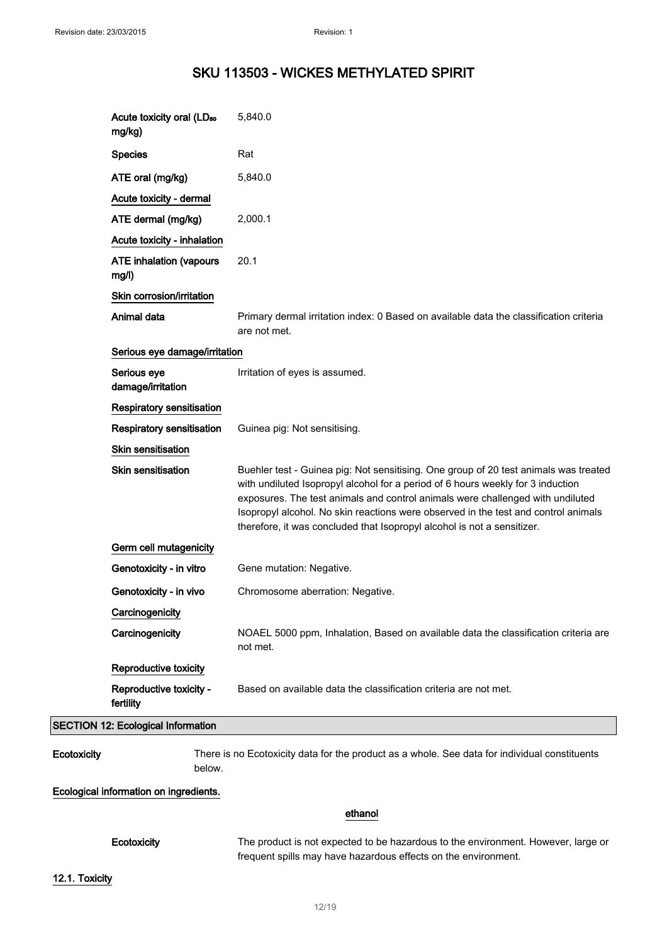|             | Acute toxicity oral (LD <sub>50</sub><br>mg/kg) | 5,840.0                                                                                                                                                                                                                                                                                                                                                                                                                    |
|-------------|-------------------------------------------------|----------------------------------------------------------------------------------------------------------------------------------------------------------------------------------------------------------------------------------------------------------------------------------------------------------------------------------------------------------------------------------------------------------------------------|
|             | <b>Species</b>                                  | Rat                                                                                                                                                                                                                                                                                                                                                                                                                        |
|             | ATE oral (mg/kg)                                | 5,840.0                                                                                                                                                                                                                                                                                                                                                                                                                    |
|             | Acute toxicity - dermal                         |                                                                                                                                                                                                                                                                                                                                                                                                                            |
|             | ATE dermal (mg/kg)                              | 2,000.1                                                                                                                                                                                                                                                                                                                                                                                                                    |
|             | Acute toxicity - inhalation                     |                                                                                                                                                                                                                                                                                                                                                                                                                            |
|             | <b>ATE inhalation (vapours</b><br>mg/l)         | 20.1                                                                                                                                                                                                                                                                                                                                                                                                                       |
|             | Skin corrosion/irritation                       |                                                                                                                                                                                                                                                                                                                                                                                                                            |
|             | Animal data                                     | Primary dermal irritation index: 0 Based on available data the classification criteria<br>are not met.                                                                                                                                                                                                                                                                                                                     |
|             | Serious eye damage/irritation                   |                                                                                                                                                                                                                                                                                                                                                                                                                            |
|             | Serious eye<br>damage/irritation                | Irritation of eyes is assumed.                                                                                                                                                                                                                                                                                                                                                                                             |
|             | Respiratory sensitisation                       |                                                                                                                                                                                                                                                                                                                                                                                                                            |
|             | <b>Respiratory sensitisation</b>                | Guinea pig: Not sensitising.                                                                                                                                                                                                                                                                                                                                                                                               |
|             | <b>Skin sensitisation</b>                       |                                                                                                                                                                                                                                                                                                                                                                                                                            |
|             | <b>Skin sensitisation</b>                       | Buehler test - Guinea pig: Not sensitising. One group of 20 test animals was treated<br>with undiluted Isopropyl alcohol for a period of 6 hours weekly for 3 induction<br>exposures. The test animals and control animals were challenged with undiluted<br>Isopropyl alcohol. No skin reactions were observed in the test and control animals<br>therefore, it was concluded that Isopropyl alcohol is not a sensitizer. |
|             | Germ cell mutagenicity                          |                                                                                                                                                                                                                                                                                                                                                                                                                            |
|             | Genotoxicity - in vitro                         | Gene mutation: Negative.                                                                                                                                                                                                                                                                                                                                                                                                   |
|             | Genotoxicity - in vivo                          | Chromosome aberration: Negative.                                                                                                                                                                                                                                                                                                                                                                                           |
|             | Carcinogenicity                                 |                                                                                                                                                                                                                                                                                                                                                                                                                            |
|             | Carcinogenicity                                 | NOAEL 5000 ppm, Inhalation, Based on available data the classification criteria are<br>not met.                                                                                                                                                                                                                                                                                                                            |
|             | Reproductive toxicity                           |                                                                                                                                                                                                                                                                                                                                                                                                                            |
|             | Reproductive toxicity -<br>fertility            | Based on available data the classification criteria are not met.                                                                                                                                                                                                                                                                                                                                                           |
|             | <b>SECTION 12: Ecological Information</b>       |                                                                                                                                                                                                                                                                                                                                                                                                                            |
| Ecotoxicity |                                                 | There is no Ecotoxicity data for the product as a whole. See data for individual constituents                                                                                                                                                                                                                                                                                                                              |

Ecological information on ingredients.

below.

#### ethanol

Ecotoxicity The product is not expected to be hazardous to the environment. However, large or frequent spills may have hazardous effects on the environment.

**SECTION**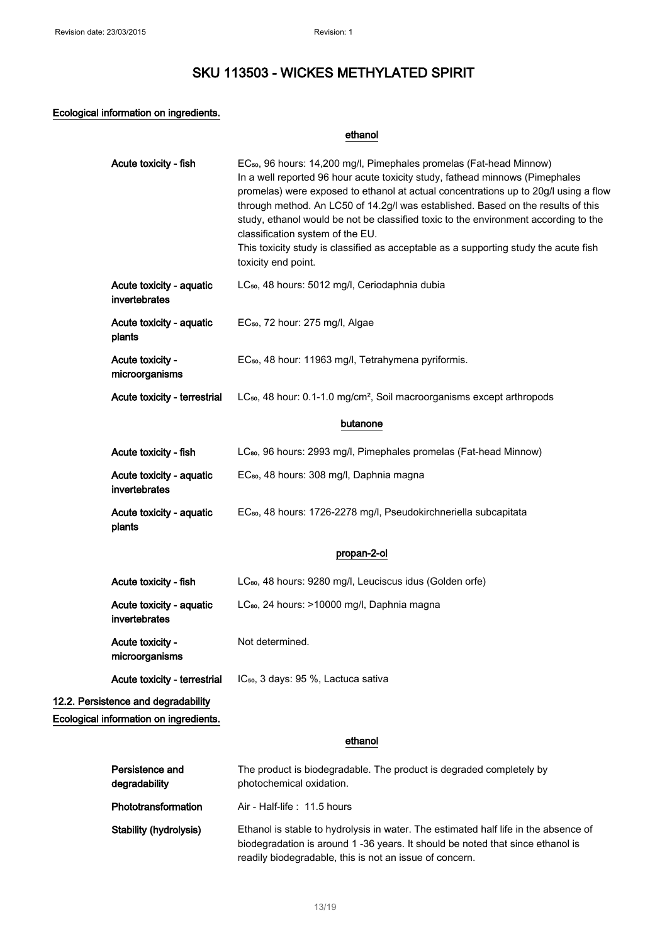#### Ecological information on ingredients.

|                                           | ethanol                                                                                                                                                                                                                                                                                                                                                                                                                                                                                                                                                                              |
|-------------------------------------------|--------------------------------------------------------------------------------------------------------------------------------------------------------------------------------------------------------------------------------------------------------------------------------------------------------------------------------------------------------------------------------------------------------------------------------------------------------------------------------------------------------------------------------------------------------------------------------------|
| Acute toxicity - fish                     | EC <sub>50</sub> , 96 hours: 14,200 mg/l, Pimephales promelas (Fat-head Minnow)<br>In a well reported 96 hour acute toxicity study, fathead minnows (Pimephales<br>promelas) were exposed to ethanol at actual concentrations up to 20g/l using a flow<br>through method. An LC50 of 14.2g/l was established. Based on the results of this<br>study, ethanol would be not be classified toxic to the environment according to the<br>classification system of the EU.<br>This toxicity study is classified as acceptable as a supporting study the acute fish<br>toxicity end point. |
| Acute toxicity - aquatic<br>invertebrates | LC <sub>50</sub> , 48 hours: 5012 mg/l, Ceriodaphnia dubia                                                                                                                                                                                                                                                                                                                                                                                                                                                                                                                           |
| Acute toxicity - aquatic<br>plants        | EC <sub>50</sub> , 72 hour: 275 mg/l, Algae                                                                                                                                                                                                                                                                                                                                                                                                                                                                                                                                          |
| Acute toxicity -<br>microorganisms        | EC <sub>50</sub> , 48 hour: 11963 mg/l, Tetrahymena pyriformis.                                                                                                                                                                                                                                                                                                                                                                                                                                                                                                                      |
| Acute toxicity - terrestrial              | LC <sub>50</sub> , 48 hour: 0.1-1.0 mg/cm <sup>2</sup> , Soil macroorganisms except arthropods                                                                                                                                                                                                                                                                                                                                                                                                                                                                                       |
|                                           | butanone                                                                                                                                                                                                                                                                                                                                                                                                                                                                                                                                                                             |
| Acute toxicity - fish                     | LC <sub>80</sub> , 96 hours: 2993 mg/l, Pimephales promelas (Fat-head Minnow)                                                                                                                                                                                                                                                                                                                                                                                                                                                                                                        |
| Acute toxicity - aquatic<br>invertebrates | EC <sub>80</sub> , 48 hours: 308 mg/l, Daphnia magna                                                                                                                                                                                                                                                                                                                                                                                                                                                                                                                                 |
| Acute toxicity - aquatic<br>plants        | EC <sub>80</sub> , 48 hours: 1726-2278 mg/l, Pseudokirchneriella subcapitata                                                                                                                                                                                                                                                                                                                                                                                                                                                                                                         |
|                                           | propan-2-ol                                                                                                                                                                                                                                                                                                                                                                                                                                                                                                                                                                          |
| Acute toxicity - fish                     | LC <sub>80</sub> , 48 hours: 9280 mg/l, Leuciscus idus (Golden orfe)                                                                                                                                                                                                                                                                                                                                                                                                                                                                                                                 |
| Acute toxicity - aquatic<br>invertebrates | LC <sub>80</sub> , 24 hours: >10000 mg/l, Daphnia magna                                                                                                                                                                                                                                                                                                                                                                                                                                                                                                                              |
| Acute toxicity -<br>microorganisms        | Not determined.                                                                                                                                                                                                                                                                                                                                                                                                                                                                                                                                                                      |
| Acute toxicity - terrestrial              | IC <sub>50</sub> , 3 days: 95 %, Lactuca sativa                                                                                                                                                                                                                                                                                                                                                                                                                                                                                                                                      |
| 12.2. Persistence and degradability       |                                                                                                                                                                                                                                                                                                                                                                                                                                                                                                                                                                                      |
| Ecological information on ingredients.    |                                                                                                                                                                                                                                                                                                                                                                                                                                                                                                                                                                                      |
|                                           | ethanol                                                                                                                                                                                                                                                                                                                                                                                                                                                                                                                                                                              |
| Persistence and<br>degradability          | The product is biodegradable. The product is degraded completely by<br>photochemical oxidation.                                                                                                                                                                                                                                                                                                                                                                                                                                                                                      |
| Phototransformation                       | Air - Half-life: 11.5 hours                                                                                                                                                                                                                                                                                                                                                                                                                                                                                                                                                          |
| Stability (hydrolysis)                    | Ethanol is stable to hydrolysis in water. The estimated half life in the absence of<br>biodegradation is around 1-36 years. It should be noted that since ethanol is                                                                                                                                                                                                                                                                                                                                                                                                                 |

readily biodegradable, this is not an issue of concern.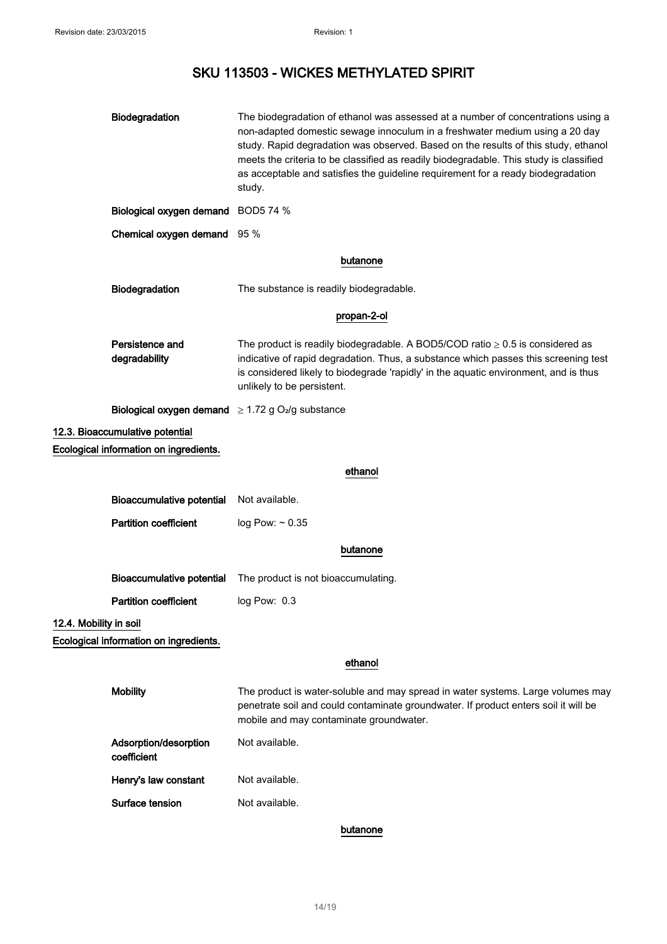### SKU 113503 - WICKES METHYLATED SPIRIT

|                        | Biodegradation                                                     | The biodegradation of ethanol was assessed at a number of concentrations using a<br>non-adapted domestic sewage innoculum in a freshwater medium using a 20 day<br>study. Rapid degradation was observed. Based on the results of this study, ethanol<br>meets the criteria to be classified as readily biodegradable. This study is classified<br>as acceptable and satisfies the guideline requirement for a ready biodegradation<br>study. |
|------------------------|--------------------------------------------------------------------|-----------------------------------------------------------------------------------------------------------------------------------------------------------------------------------------------------------------------------------------------------------------------------------------------------------------------------------------------------------------------------------------------------------------------------------------------|
|                        | Biological oxygen demand BOD5 74 %                                 |                                                                                                                                                                                                                                                                                                                                                                                                                                               |
|                        | Chemical oxygen demand 95 %                                        |                                                                                                                                                                                                                                                                                                                                                                                                                                               |
|                        |                                                                    | butanone                                                                                                                                                                                                                                                                                                                                                                                                                                      |
|                        | Biodegradation                                                     | The substance is readily biodegradable.                                                                                                                                                                                                                                                                                                                                                                                                       |
|                        |                                                                    | propan-2-ol                                                                                                                                                                                                                                                                                                                                                                                                                                   |
|                        | Persistence and<br>degradability                                   | The product is readily biodegradable. A BOD5/COD ratio $\geq 0.5$ is considered as<br>indicative of rapid degradation. Thus, a substance which passes this screening test<br>is considered likely to biodegrade 'rapidly' in the aquatic environment, and is thus<br>unlikely to be persistent.                                                                                                                                               |
|                        | Biological oxygen demand $\geq$ 1.72 g O <sub>2</sub> /g substance |                                                                                                                                                                                                                                                                                                                                                                                                                                               |
|                        | 12.3. Bioaccumulative potential                                    |                                                                                                                                                                                                                                                                                                                                                                                                                                               |
|                        | Ecological information on ingredients.                             |                                                                                                                                                                                                                                                                                                                                                                                                                                               |
|                        |                                                                    | ethanol                                                                                                                                                                                                                                                                                                                                                                                                                                       |
|                        | <b>Bioaccumulative potential</b>                                   | Not available.                                                                                                                                                                                                                                                                                                                                                                                                                                |
|                        | <b>Partition coefficient</b>                                       | log Pow: $\sim 0.35$                                                                                                                                                                                                                                                                                                                                                                                                                          |
|                        |                                                                    | butanone                                                                                                                                                                                                                                                                                                                                                                                                                                      |
|                        |                                                                    |                                                                                                                                                                                                                                                                                                                                                                                                                                               |
|                        | <b>Bioaccumulative potential</b>                                   | The product is not bioaccumulating.                                                                                                                                                                                                                                                                                                                                                                                                           |
|                        | <b>Partition coefficient</b>                                       | log Pow: 0.3                                                                                                                                                                                                                                                                                                                                                                                                                                  |
| 12.4. Mobility in soil |                                                                    |                                                                                                                                                                                                                                                                                                                                                                                                                                               |
|                        | Ecological information on ingredients.                             |                                                                                                                                                                                                                                                                                                                                                                                                                                               |
|                        |                                                                    | ethanol                                                                                                                                                                                                                                                                                                                                                                                                                                       |
|                        | <b>Mobility</b>                                                    | The product is water-soluble and may spread in water systems. Large volumes may<br>penetrate soil and could contaminate groundwater. If product enters soil it will be<br>mobile and may contaminate groundwater.                                                                                                                                                                                                                             |
|                        | Adsorption/desorption<br>coefficient                               | Not available.                                                                                                                                                                                                                                                                                                                                                                                                                                |
|                        | Henry's law constant                                               | Not available.                                                                                                                                                                                                                                                                                                                                                                                                                                |

#### butanone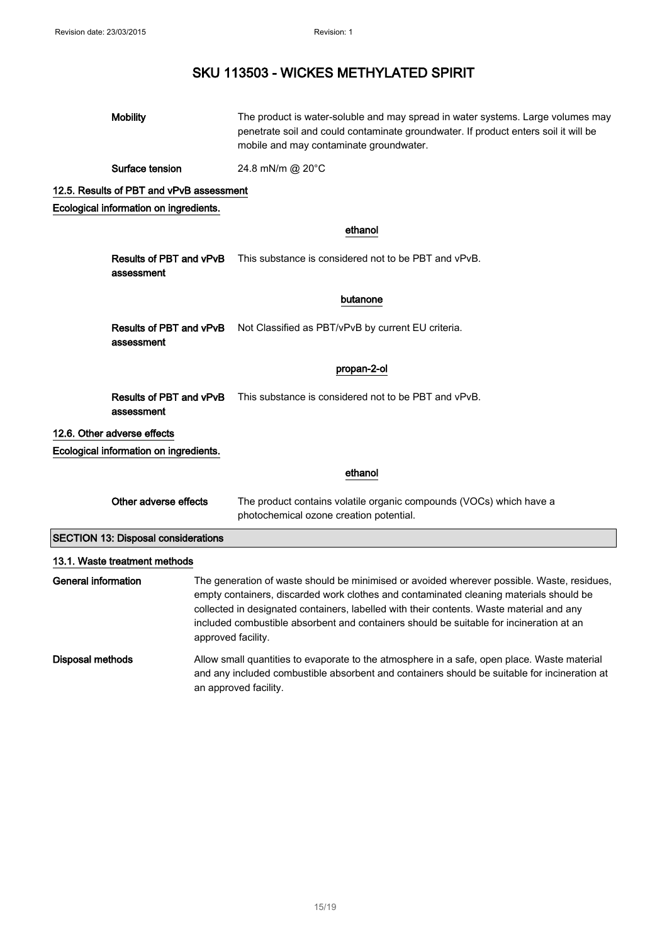|                                                                                                                                         | <b>Mobility</b>                            | The product is water-soluble and may spread in water systems. Large volumes may<br>penetrate soil and could contaminate groundwater. If product enters soil it will be<br>mobile and may contaminate groundwater.                                                                                                                                                                                 |  |
|-----------------------------------------------------------------------------------------------------------------------------------------|--------------------------------------------|---------------------------------------------------------------------------------------------------------------------------------------------------------------------------------------------------------------------------------------------------------------------------------------------------------------------------------------------------------------------------------------------------|--|
|                                                                                                                                         | Surface tension                            | 24.8 mN/m @ 20°C                                                                                                                                                                                                                                                                                                                                                                                  |  |
|                                                                                                                                         | 12.5. Results of PBT and vPvB assessment   |                                                                                                                                                                                                                                                                                                                                                                                                   |  |
|                                                                                                                                         | Ecological information on ingredients.     |                                                                                                                                                                                                                                                                                                                                                                                                   |  |
|                                                                                                                                         |                                            | ethanol                                                                                                                                                                                                                                                                                                                                                                                           |  |
|                                                                                                                                         | Results of PBT and vPvB<br>assessment      | This substance is considered not to be PBT and vPvB.                                                                                                                                                                                                                                                                                                                                              |  |
|                                                                                                                                         |                                            | butanone                                                                                                                                                                                                                                                                                                                                                                                          |  |
|                                                                                                                                         | Results of PBT and vPvB<br>assessment      | Not Classified as PBT/vPvB by current EU criteria.                                                                                                                                                                                                                                                                                                                                                |  |
|                                                                                                                                         |                                            | propan-2-ol                                                                                                                                                                                                                                                                                                                                                                                       |  |
|                                                                                                                                         | Results of PBT and vPvB<br>assessment      | This substance is considered not to be PBT and vPvB.                                                                                                                                                                                                                                                                                                                                              |  |
|                                                                                                                                         | 12.6. Other adverse effects                |                                                                                                                                                                                                                                                                                                                                                                                                   |  |
|                                                                                                                                         | Ecological information on ingredients.     |                                                                                                                                                                                                                                                                                                                                                                                                   |  |
|                                                                                                                                         |                                            | ethanol                                                                                                                                                                                                                                                                                                                                                                                           |  |
| Other adverse effects<br>The product contains volatile organic compounds (VOCs) which have a<br>photochemical ozone creation potential. |                                            |                                                                                                                                                                                                                                                                                                                                                                                                   |  |
|                                                                                                                                         | <b>SECTION 13: Disposal considerations</b> |                                                                                                                                                                                                                                                                                                                                                                                                   |  |
|                                                                                                                                         | 13.1. Waste treatment methods              |                                                                                                                                                                                                                                                                                                                                                                                                   |  |
| <b>General information</b>                                                                                                              |                                            | The generation of waste should be minimised or avoided wherever possible. Waste, residues,<br>empty containers, discarded work clothes and contaminated cleaning materials should be<br>collected in designated containers, labelled with their contents. Waste material and any<br>included combustible absorbent and containers should be suitable for incineration at an<br>approved facility. |  |
| Disposal methods                                                                                                                        |                                            | Allow small quantities to evaporate to the atmosphere in a safe, open place. Waste material<br>and any included combustible absorbent and containers should be suitable for incineration at<br>an approved facility.                                                                                                                                                                              |  |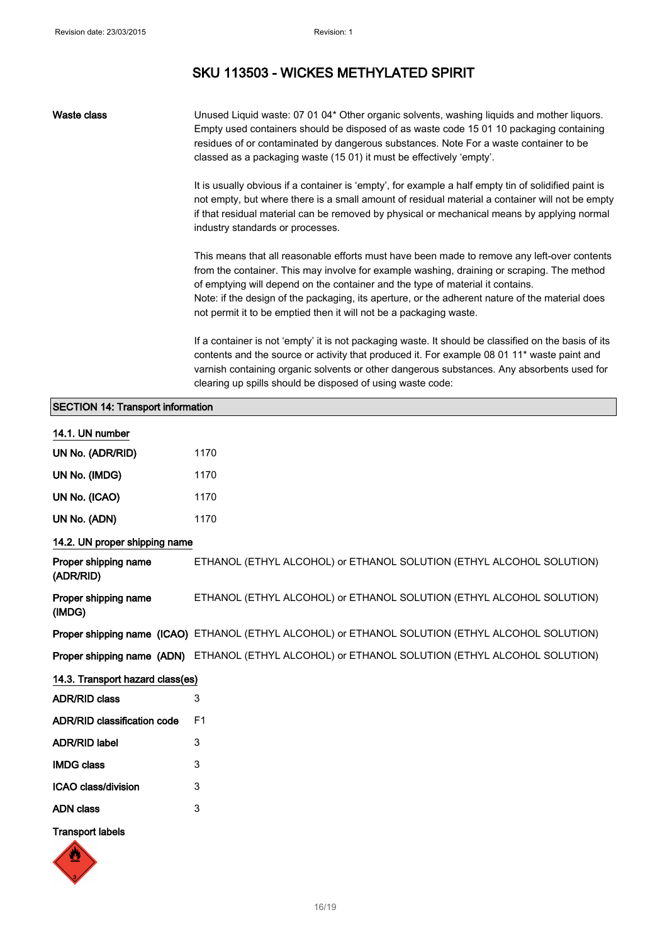Waste class Unused Liquid waste: 07 01 04\* Other organic solvents, washing liquids and mother liquors. Empty used containers should be disposed of as waste code 15 01 10 packaging containing residues of or contaminated by dangerous substances. Note For a waste container to be classed as a packaging waste (15 01) it must be effectively 'empty'.

> It is usually obvious if a container is 'empty', for example a half empty tin of solidified paint is not empty, but where there is a small amount of residual material a container will not be empty if that residual material can be removed by physical or mechanical means by applying normal industry standards or processes.

> This means that all reasonable efforts must have been made to remove any left-over contents from the container. This may involve for example washing, draining or scraping. The method of emptying will depend on the container and the type of material it contains. Note: if the design of the packaging, its aperture, or the adherent nature of the material does not permit it to be emptied then it will not be a packaging waste.

> If a container is not 'empty' it is not packaging waste. It should be classified on the basis of its contents and the source or activity that produced it. For example 08 01 11\* waste paint and varnish containing organic solvents or other dangerous substances. Any absorbents used for clearing up spills should be disposed of using waste code:

| <b>SECTION 14: Transport information</b> |                                                                                                  |  |
|------------------------------------------|--------------------------------------------------------------------------------------------------|--|
| 14.1. UN number                          |                                                                                                  |  |
| UN No. (ADR/RID)                         | 1170                                                                                             |  |
| UN No. (IMDG)                            | 1170                                                                                             |  |
| UN No. (ICAO)                            | 1170                                                                                             |  |
| UN No. (ADN)                             | 1170                                                                                             |  |
| 14.2. UN proper shipping name            |                                                                                                  |  |
| Proper shipping name<br>(ADR/RID)        | ETHANOL (ETHYL ALCOHOL) or ETHANOL SOLUTION (ETHYL ALCOHOL SOLUTION)                             |  |
| Proper shipping name<br>(IMDG)           | ETHANOL (ETHYL ALCOHOL) or ETHANOL SOLUTION (ETHYL ALCOHOL SOLUTION)                             |  |
|                                          | Proper shipping name (ICAO) ETHANOL (ETHYL ALCOHOL) or ETHANOL SOLUTION (ETHYL ALCOHOL SOLUTION) |  |
|                                          | Proper shipping name (ADN) ETHANOL (ETHYL ALCOHOL) or ETHANOL SOLUTION (ETHYL ALCOHOL SOLUTION)  |  |
| 14.3. Transport hazard class(es)         |                                                                                                  |  |
| <b>ADR/RID class</b>                     | 3                                                                                                |  |
| <b>ADR/RID classification code</b>       | F <sub>1</sub>                                                                                   |  |
| <b>ADR/RID label</b>                     | 3                                                                                                |  |
| <b>IMDG class</b>                        | 3                                                                                                |  |
| ICAO class/division                      | 3                                                                                                |  |
| <b>ADN class</b>                         | 3                                                                                                |  |
| <b>Transport labels</b>                  |                                                                                                  |  |

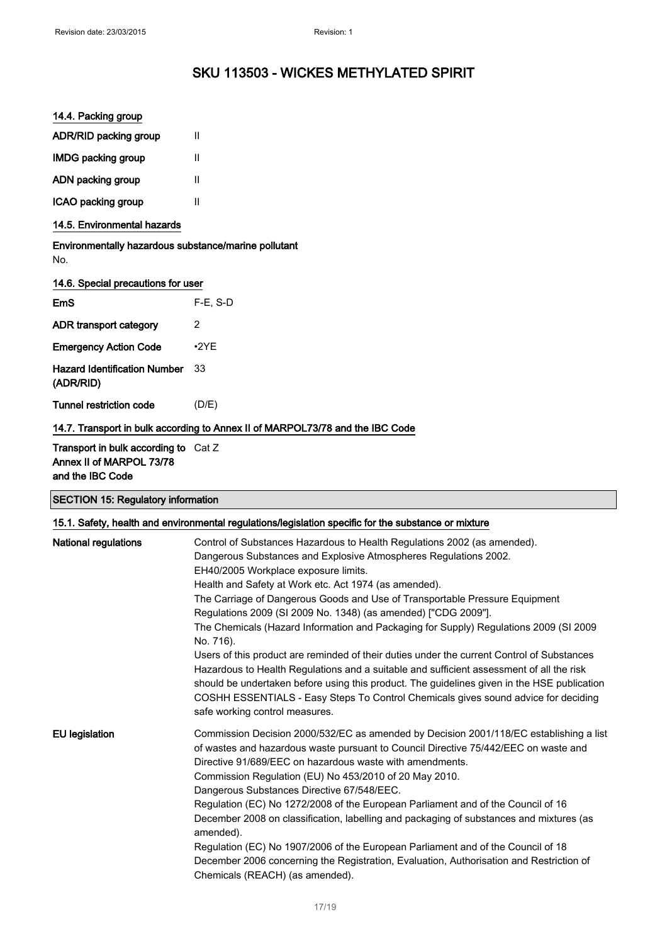#### 14.4. Packing group

| <b>ADR/RID packing group</b> | Ш |
|------------------------------|---|
| <b>IMDG packing group</b>    | Ш |
| ADN packing group            | Ш |
| ICAO packing group           | Ш |

#### 14.5. Environmental hazards

Environmentally hazardous substance/marine pollutant No.

#### 14.6. Special precautions for user

| <b>EmS</b>                                       | F-E, S-D    |
|--------------------------------------------------|-------------|
| ADR transport category                           | 2           |
| <b>Emergency Action Code</b>                     | $\cdot$ 2YF |
| <b>Hazard Identification Number</b><br>(ADR/RID) | 33          |
| Tunnel restriction code                          | (D/E)       |

#### 14.7. Transport in bulk according to Annex II of MARPOL73/78 and the IBC Code

#### Transport in bulk according to Cat Z Annex II of MARPOL 73/78 and the IBC Code

#### SECTION 15: Regulatory information

#### 15.1. Safety, health and environmental regulations/legislation specific for the substance or mixture

| National regulations  | Control of Substances Hazardous to Health Regulations 2002 (as amended).<br>Dangerous Substances and Explosive Atmospheres Regulations 2002.<br>EH40/2005 Workplace exposure limits.<br>Health and Safety at Work etc. Act 1974 (as amended).<br>The Carriage of Dangerous Goods and Use of Transportable Pressure Equipment<br>Regulations 2009 (SI 2009 No. 1348) (as amended) ["CDG 2009"].<br>The Chemicals (Hazard Information and Packaging for Supply) Regulations 2009 (SI 2009<br>No. 716).<br>Users of this product are reminded of their duties under the current Control of Substances<br>Hazardous to Health Regulations and a suitable and sufficient assessment of all the risk<br>should be undertaken before using this product. The guidelines given in the HSE publication<br>COSHH ESSENTIALS - Easy Steps To Control Chemicals gives sound advice for deciding<br>safe working control measures. |
|-----------------------|-----------------------------------------------------------------------------------------------------------------------------------------------------------------------------------------------------------------------------------------------------------------------------------------------------------------------------------------------------------------------------------------------------------------------------------------------------------------------------------------------------------------------------------------------------------------------------------------------------------------------------------------------------------------------------------------------------------------------------------------------------------------------------------------------------------------------------------------------------------------------------------------------------------------------|
| <b>EU</b> legislation | Commission Decision 2000/532/EC as amended by Decision 2001/118/EC establishing a list<br>of wastes and hazardous waste pursuant to Council Directive 75/442/EEC on waste and<br>Directive 91/689/EEC on hazardous waste with amendments.<br>Commission Regulation (EU) No 453/2010 of 20 May 2010.<br>Dangerous Substances Directive 67/548/EEC.<br>Regulation (EC) No 1272/2008 of the European Parliament and of the Council of 16<br>December 2008 on classification, labelling and packaging of substances and mixtures (as<br>amended).<br>Regulation (EC) No 1907/2006 of the European Parliament and of the Council of 18<br>December 2006 concerning the Registration, Evaluation, Authorisation and Restriction of<br>Chemicals (REACH) (as amended).                                                                                                                                                       |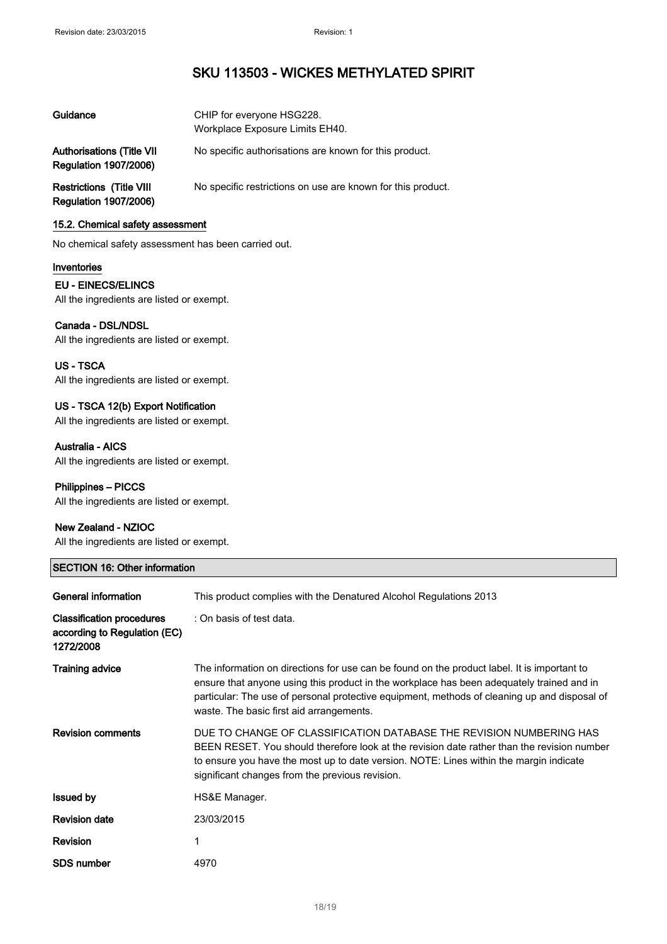| Guidance                                                          | CHIP for everyone HSG228.<br>Workplace Exposure Limits EH40. |
|-------------------------------------------------------------------|--------------------------------------------------------------|
| <b>Authorisations (Title VII)</b><br><b>Regulation 1907/2006)</b> | No specific authorisations are known for this product.       |
| <b>Restrictions (Title VIII</b><br><b>Regulation 1907/2006)</b>   | No specific restrictions on use are known for this product.  |

#### 15.2. Chemical safety assessment

No chemical safety assessment has been carried out.

#### Inventories

EU - EINECS/ELINCS All the ingredients are listed or exempt.

#### Canada - DSL/NDSL

All the ingredients are listed or exempt.

#### US - TSCA

All the ingredients are listed or exempt.

#### US - TSCA 12(b) Export Notification

All the ingredients are listed or exempt.

#### Australia - AICS

All the ingredients are listed or exempt.

#### Philippines – PICCS

All the ingredients are listed or exempt.

#### New Zealand - NZIOC

All the ingredients are listed or exempt.

| <b>SECTION 16: Other information</b>                                          |                                                                                                                                                                                                                                                                                                                                      |
|-------------------------------------------------------------------------------|--------------------------------------------------------------------------------------------------------------------------------------------------------------------------------------------------------------------------------------------------------------------------------------------------------------------------------------|
| General information                                                           | This product complies with the Denatured Alcohol Regulations 2013                                                                                                                                                                                                                                                                    |
| <b>Classification procedures</b><br>according to Regulation (EC)<br>1272/2008 | : On basis of test data.                                                                                                                                                                                                                                                                                                             |
| <b>Training advice</b>                                                        | The information on directions for use can be found on the product label. It is important to<br>ensure that anyone using this product in the workplace has been adequately trained and in<br>particular: The use of personal protective equipment, methods of cleaning up and disposal of<br>waste. The basic first aid arrangements. |
| <b>Revision comments</b>                                                      | DUF TO CHANGE OF CLASSIFICATION DATABASE THE REVISION NUMBERING HAS<br>BEEN RESET. You should therefore look at the revision date rather than the revision number<br>to ensure you have the most up to date version. NOTE: Lines within the margin indicate<br>significant changes from the previous revision.                       |
| <b>Issued by</b>                                                              | HS&E Manager.                                                                                                                                                                                                                                                                                                                        |
| <b>Revision date</b>                                                          | 23/03/2015                                                                                                                                                                                                                                                                                                                           |
| Revision                                                                      | 1                                                                                                                                                                                                                                                                                                                                    |
| <b>SDS number</b>                                                             | 4970                                                                                                                                                                                                                                                                                                                                 |